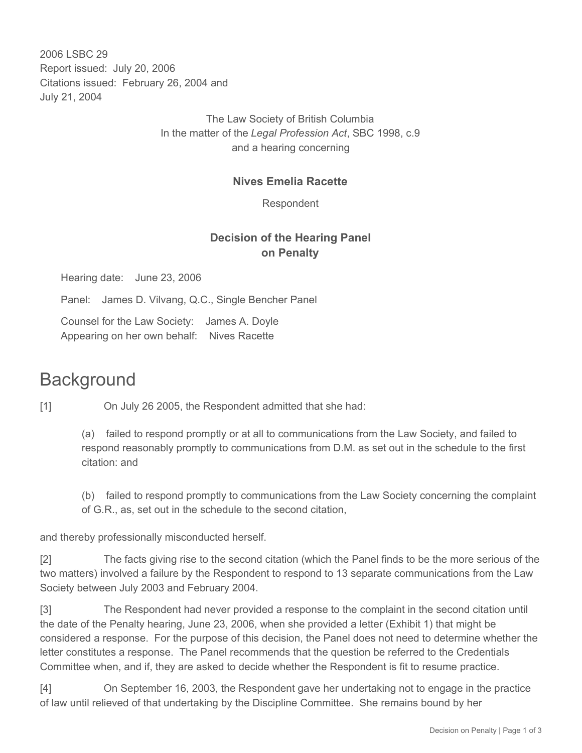2006 LSBC 29 Report issued: July 20, 2006 Citations issued: February 26, 2004 and July 21, 2004

> The Law Society of British Columbia In the matter of the *Legal Profession Act*, SBC 1998, c.9 and a hearing concerning

#### **Nives Emelia Racette**

Respondent

### **Decision of the Hearing Panel on Penalty**

Hearing date: June 23, 2006

Panel: James D. Vilvang, Q.C., Single Bencher Panel

Counsel for the Law Society: James A. Doyle Appearing on her own behalf: Nives Racette

## **Background**

[1] On July 26 2005, the Respondent admitted that she had:

(a) failed to respond promptly or at all to communications from the Law Society, and failed to respond reasonably promptly to communications from D.M. as set out in the schedule to the first citation: and

(b) failed to respond promptly to communications from the Law Society concerning the complaint of G.R., as, set out in the schedule to the second citation,

and thereby professionally misconducted herself.

[2] The facts giving rise to the second citation (which the Panel finds to be the more serious of the two matters) involved a failure by the Respondent to respond to 13 separate communications from the Law Society between July 2003 and February 2004.

[3] The Respondent had never provided a response to the complaint in the second citation until the date of the Penalty hearing, June 23, 2006, when she provided a letter (Exhibit 1) that might be considered a response. For the purpose of this decision, the Panel does not need to determine whether the letter constitutes a response. The Panel recommends that the question be referred to the Credentials Committee when, and if, they are asked to decide whether the Respondent is fit to resume practice.

[4] On September 16, 2003, the Respondent gave her undertaking not to engage in the practice of law until relieved of that undertaking by the Discipline Committee. She remains bound by her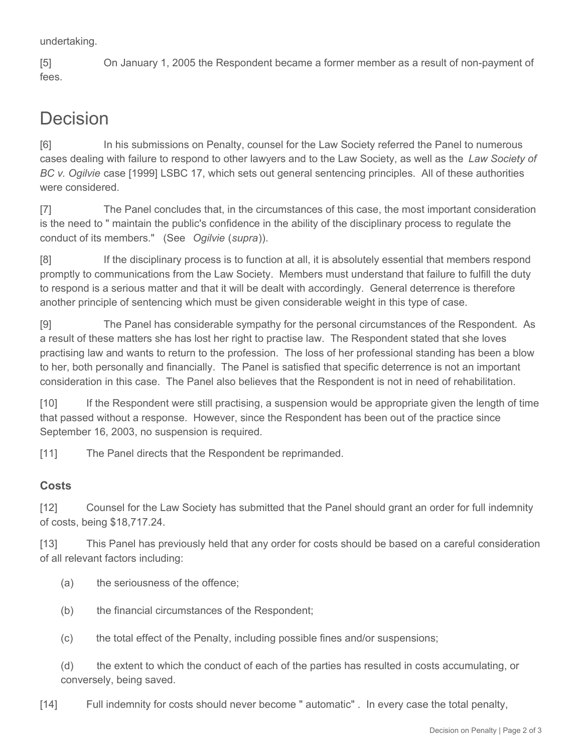undertaking.

[5] On January 1, 2005 the Respondent became a former member as a result of non-payment of fees.

# Decision

[6] In his submissions on Penalty, counsel for the Law Society referred the Panel to numerous cases dealing with failure to respond to other lawyers and to the Law Society, as well as the *Law Society of BC v. Ogilvie* case [1999] LSBC 17, which sets out general sentencing principles. All of these authorities were considered.

[7] The Panel concludes that, in the circumstances of this case, the most important consideration is the need to " maintain the public's confidence in the ability of the disciplinary process to regulate the conduct of its members." (See *Ogilvie* (*supra*)).

[8] If the disciplinary process is to function at all, it is absolutely essential that members respond promptly to communications from the Law Society. Members must understand that failure to fulfill the duty to respond is a serious matter and that it will be dealt with accordingly. General deterrence is therefore another principle of sentencing which must be given considerable weight in this type of case.

[9] The Panel has considerable sympathy for the personal circumstances of the Respondent. As a result of these matters she has lost her right to practise law. The Respondent stated that she loves practising law and wants to return to the profession. The loss of her professional standing has been a blow to her, both personally and financially. The Panel is satisfied that specific deterrence is not an important consideration in this case. The Panel also believes that the Respondent is not in need of rehabilitation.

[10] If the Respondent were still practising, a suspension would be appropriate given the length of time that passed without a response. However, since the Respondent has been out of the practice since September 16, 2003, no suspension is required.

[11] The Panel directs that the Respondent be reprimanded.

### **Costs**

[12] Counsel for the Law Society has submitted that the Panel should grant an order for full indemnity of costs, being \$18,717.24.

[13] This Panel has previously held that any order for costs should be based on a careful consideration of all relevant factors including:

- (a) the seriousness of the offence;
- (b) the financial circumstances of the Respondent;
- (c) the total effect of the Penalty, including possible fines and/or suspensions;

(d) the extent to which the conduct of each of the parties has resulted in costs accumulating, or conversely, being saved.

[14] Full indemnity for costs should never become " automatic" . In every case the total penalty,